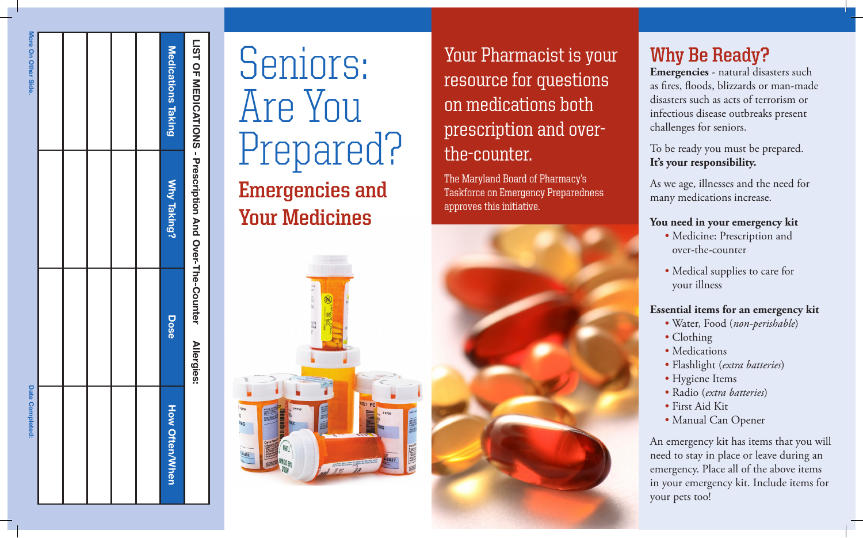|                     | LIST OF MEDICATIONS - Prescription And Over-The-Counter | <b>Allergies:</b> |                                  |
|---------------------|---------------------------------------------------------|-------------------|----------------------------------|
| Medications Taking  | Why Taking?                                             | Dose              | <b>How Often/When</b>            |
|                     |                                                         |                   |                                  |
|                     |                                                         |                   |                                  |
|                     |                                                         |                   |                                  |
|                     |                                                         |                   |                                  |
|                     |                                                         |                   |                                  |
| More On Other Side. |                                                         |                   | <b>Date</b><br><b>Completed:</b> |

# Seniors: Are You Prepared? **Emergencies and Your Medicines**

Your Pharmacist is your resource for questions on medications both prescription and overthe-counter.

The Maryland Board of Pharmacy's Taskforce on Emergency Preparedness approves this initiative.



# **Why Be Ready?**

**Emergencies** - natural disasters such as fires, floods, blizzards or man-made disasters such as acts of terrorism or infectious disease outbreaks present challenges for seniors.

# To be ready you must be prepared. **It's your responsibility.**

As we age, illnesses and the need for many medications increase.

### **You need in your emergency kit**

- Medicine: Prescription and over-the-counter
- Medical supplies to care for your illness

# **Essential items for an emergency kit**

- Water, Food (*non-perishable*)
- Clothing
- Medications
- Flashlight (*extra batteries*)
- Hygiene Items
- Radio (*extra batteries*)
- First Aid Kit
- Manual Can Opener

An emergency kit has items that you will need to stay in place or leave during an emergency. Place all of the above items in your emergency kit. Include items for your pets too!